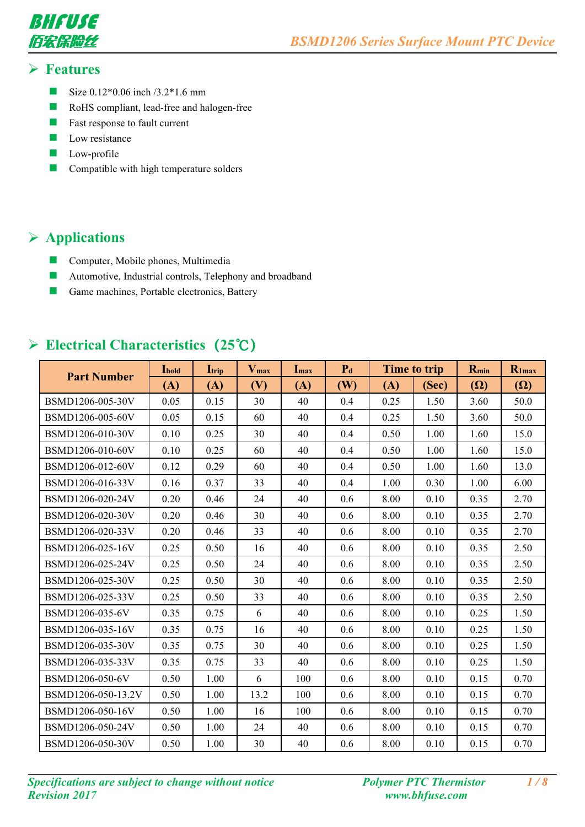

#### **Features**

- Size  $0.12*0.06$  inch  $/3.2*1.6$  mm
- **RoHS** compliant, lead-free and halogen-free
- $\blacksquare$  Fast response to fault current
- $\Box$  Low resistance
- **Low-profile**
- **Compatible with high temperature solders**

## **Applications**

- **Computer, Mobile phones, Multimedia**
- **Automotive, Industrial controls, Telephony and broadband**
- Game machines, Portable electronics, Battery

## **Electrical Characteristics(25℃)**

| <b>Part Number</b> | <b>I</b> hold | $\mathbf{I}_{\text{trip}}$ | $V_{max}$ | $I_{max}$ | $P_d$ |      | Time to trip | $R_{min}$  | $R_{1max}$ |
|--------------------|---------------|----------------------------|-----------|-----------|-------|------|--------------|------------|------------|
|                    | (A)           | (A)                        | (V)       | (A)       | (W)   | (A)  | (Sec)        | $(\Omega)$ | $(\Omega)$ |
| BSMD1206-005-30V   | 0.05          | 0.15                       | 30        | 40        | 0.4   | 0.25 | 1.50         | 3.60       | 50.0       |
| BSMD1206-005-60V   | 0.05          | 0.15                       | 60        | 40        | 0.4   | 0.25 | 1.50         | 3.60       | 50.0       |
| BSMD1206-010-30V   | 0.10          | 0.25                       | 30        | 40        | 0.4   | 0.50 | 1.00         | 1.60       | 15.0       |
| BSMD1206-010-60V   | 0.10          | 0.25                       | 60        | 40        | 0.4   | 0.50 | 1.00         | 1.60       | 15.0       |
| BSMD1206-012-60V   | 0.12          | 0.29                       | 60        | 40        | 0.4   | 0.50 | 1.00         | 1.60       | 13.0       |
| BSMD1206-016-33V   | 0.16          | 0.37                       | 33        | 40        | 0.4   | 1.00 | 0.30         | 1.00       | 6.00       |
| BSMD1206-020-24V   | 0.20          | 0.46                       | 24        | 40        | 0.6   | 8.00 | 0.10         | 0.35       | 2.70       |
| BSMD1206-020-30V   | 0.20          | 0.46                       | 30        | 40        | 0.6   | 8.00 | 0.10         | 0.35       | 2.70       |
| BSMD1206-020-33V   | 0.20          | 0.46                       | 33        | 40        | 0.6   | 8.00 | 0.10         | 0.35       | 2.70       |
| BSMD1206-025-16V   | 0.25          | 0.50                       | 16        | 40        | 0.6   | 8.00 | 0.10         | 0.35       | 2.50       |
| BSMD1206-025-24V   | 0.25          | 0.50                       | 24        | 40        | 0.6   | 8.00 | 0.10         | 0.35       | 2.50       |
| BSMD1206-025-30V   | 0.25          | 0.50                       | 30        | 40        | 0.6   | 8.00 | 0.10         | 0.35       | 2.50       |
| BSMD1206-025-33V   | 0.25          | 0.50                       | 33        | 40        | 0.6   | 8.00 | 0.10         | 0.35       | 2.50       |
| BSMD1206-035-6V    | 0.35          | 0.75                       | 6         | 40        | 0.6   | 8.00 | 0.10         | 0.25       | 1.50       |
| BSMD1206-035-16V   | 0.35          | 0.75                       | 16        | 40        | 0.6   | 8.00 | 0.10         | 0.25       | 1.50       |
| BSMD1206-035-30V   | 0.35          | 0.75                       | 30        | 40        | 0.6   | 8.00 | 0.10         | 0.25       | 1.50       |
| BSMD1206-035-33V   | 0.35          | 0.75                       | 33        | 40        | 0.6   | 8.00 | 0.10         | 0.25       | 1.50       |
| BSMD1206-050-6V    | 0.50          | 1.00                       | 6         | 100       | 0.6   | 8.00 | 0.10         | 0.15       | 0.70       |
| BSMD1206-050-13.2V | 0.50          | 1.00                       | 13.2      | 100       | 0.6   | 8.00 | 0.10         | 0.15       | 0.70       |
| BSMD1206-050-16V   | 0.50          | 1.00                       | 16        | 100       | 0.6   | 8.00 | 0.10         | 0.15       | 0.70       |
| BSMD1206-050-24V   | 0.50          | 1.00                       | 24        | 40        | 0.6   | 8.00 | 0.10         | 0.15       | 0.70       |
| BSMD1206-050-30V   | 0.50          | 1.00                       | 30        | 40        | 0.6   | 8.00 | 0.10         | 0.15       | 0.70       |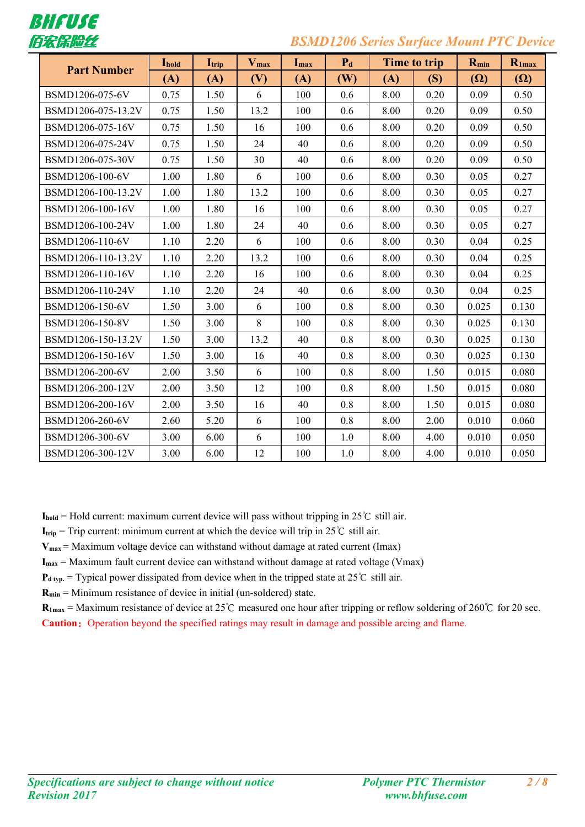

### 佰宏保险丝 *BSMD1206 Series Surface Mount PTC Device*

|                    | Ihold | $\mathbf{I}_{\text{trip}}$ | $V_{max}$ | Imax | $P_d$   |      | Time to trip | $R_{min}$  | $R_{1max}$ |
|--------------------|-------|----------------------------|-----------|------|---------|------|--------------|------------|------------|
| <b>Part Number</b> | (A)   | (A)                        | (V)       | (A)  | (W)     | (A)  | (S)          | $(\Omega)$ | $(\Omega)$ |
| BSMD1206-075-6V    | 0.75  | 1.50                       | 6         | 100  | 0.6     | 8.00 | 0.20         | 0.09       | 0.50       |
| BSMD1206-075-13.2V | 0.75  | 1.50                       | 13.2      | 100  | 0.6     | 8.00 | 0.20         | 0.09       | 0.50       |
| BSMD1206-075-16V   | 0.75  | 1.50                       | 16        | 100  | 0.6     | 8.00 | 0.20         | 0.09       | 0.50       |
| BSMD1206-075-24V   | 0.75  | 1.50                       | 24        | 40   | 0.6     | 8.00 | 0.20         | 0.09       | 0.50       |
| BSMD1206-075-30V   | 0.75  | 1.50                       | 30        | 40   | 0.6     | 8.00 | 0.20         | 0.09       | 0.50       |
| BSMD1206-100-6V    | 1.00  | 1.80                       | 6         | 100  | 0.6     | 8.00 | 0.30         | 0.05       | 0.27       |
| BSMD1206-100-13.2V | 1.00  | 1.80                       | 13.2      | 100  | 0.6     | 8.00 | 0.30         | 0.05       | 0.27       |
| BSMD1206-100-16V   | 1.00  | 1.80                       | 16        | 100  | 0.6     | 8.00 | 0.30         | 0.05       | 0.27       |
| BSMD1206-100-24V   | 1.00  | 1.80                       | 24        | 40   | 0.6     | 8.00 | 0.30         | 0.05       | 0.27       |
| BSMD1206-110-6V    | 1.10  | 2.20                       | 6         | 100  | 0.6     | 8.00 | 0.30         | 0.04       | 0.25       |
| BSMD1206-110-13.2V | 1.10  | 2.20                       | 13.2      | 100  | 0.6     | 8.00 | 0.30         | 0.04       | 0.25       |
| BSMD1206-110-16V   | 1.10  | 2.20                       | 16        | 100  | 0.6     | 8.00 | 0.30         | 0.04       | 0.25       |
| BSMD1206-110-24V   | 1.10  | 2.20                       | 24        | 40   | 0.6     | 8.00 | 0.30         | 0.04       | 0.25       |
| BSMD1206-150-6V    | 1.50  | 3.00                       | 6         | 100  | 0.8     | 8.00 | 0.30         | 0.025      | 0.130      |
| BSMD1206-150-8V    | 1.50  | 3.00                       | 8         | 100  | 0.8     | 8.00 | 0.30         | 0.025      | 0.130      |
| BSMD1206-150-13.2V | 1.50  | 3.00                       | 13.2      | 40   | 0.8     | 8.00 | 0.30         | 0.025      | 0.130      |
| BSMD1206-150-16V   | 1.50  | 3.00                       | 16        | 40   | 0.8     | 8.00 | 0.30         | 0.025      | 0.130      |
| BSMD1206-200-6V    | 2.00  | 3.50                       | 6         | 100  | 0.8     | 8.00 | 1.50         | 0.015      | 0.080      |
| BSMD1206-200-12V   | 2.00  | 3.50                       | 12        | 100  | 0.8     | 8.00 | 1.50         | 0.015      | 0.080      |
| BSMD1206-200-16V   | 2.00  | 3.50                       | 16        | 40   | 0.8     | 8.00 | 1.50         | 0.015      | 0.080      |
| BSMD1206-260-6V    | 2.60  | 5.20                       | 6         | 100  | 0.8     | 8.00 | 2.00         | 0.010      | 0.060      |
| BSMD1206-300-6V    | 3.00  | 6.00                       | 6         | 100  | 1.0     | 8.00 | 4.00         | 0.010      | 0.050      |
| BSMD1206-300-12V   | 3.00  | 6.00                       | 12        | 100  | $1.0\,$ | 8.00 | 4.00         | 0.010      | 0.050      |

**Ihold** = Hold current: maximum current device will pass without tripping in 25℃ still air.

**I**<sub>trip</sub> = Trip current: minimum current at which the device will trip in 25°C still air.

**Vmax** = Maximum voltage device can withstand without damage at rated current (Imax)

**Imax** = Maximum fault current device can withstand without damage at rated voltage (Vmax)

 $P_{d \text{ typ.}}$  = Typical power dissipated from device when in the tripped state at 25°C still air.

**Rmin** = Minimum resistance of device in initial (un-soldered) state.

**R1max** = Maximum resistance of device at 25℃ measured one hourafter tripping or reflow soldering of 260℃ for 20 sec. **Caution:** Operation beyond the specified ratings may result in damage and possible arcing and flame.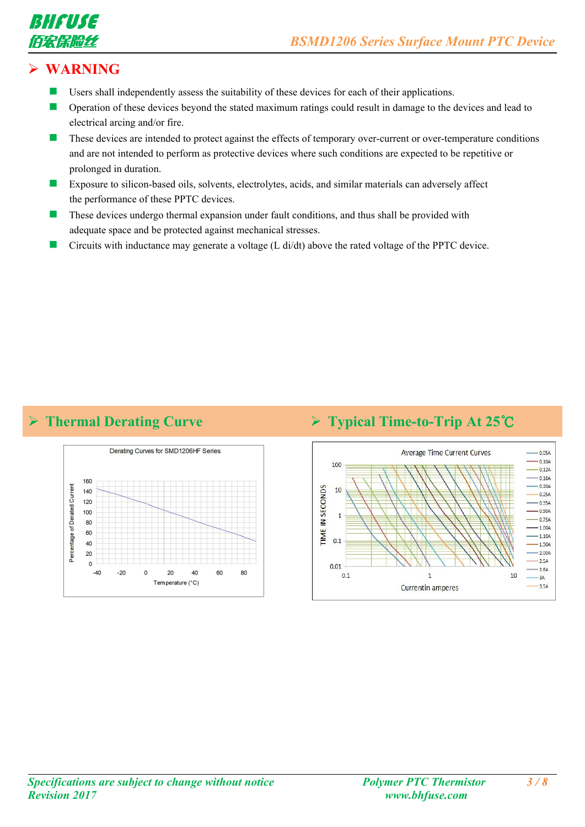



## **WARNING**

- $\blacksquare$  Users shall independently assess the suitability of these devices for each of their applications.
- Operation of these devices beyond the stated maximum ratings could result in damage to the devices and lead to electrical arcing and/or fire.
- These devices are intended to protect against the effects of temporary over-current or over-temperature conditions and are not intended to perform as protective devices where such conditions are expected to be repetitive or prolonged in duration.
- Exposure to silicon-based oils, solvents, electrolytes, acids, and similar materials can adversely affect the performance of these PPTC devices.
- These devices undergo thermal expansion under fault conditions, and thus shall be provided with adequate space and be protected against mechanical stresses.
- Circuits with inductance may generate a voltage (L di/dt) above the rated voltage of the PPTC device.

### **Thermal Derating Curve Typical Time-to-Trip At 25℃**



#### **Average Time Current Curves**  $-0.05A$  $-0.10A$ 100  $-0.12A$  $0.16A$  $-0.20A$ IN SECONDS  $10$  $0.25A$  $-0.35A$  $-0.50A$  $\overline{1}$  $-0.75A$  $-1.00A$ **TIME**  $-1.10A$  $0.1$  $-1.50A$  $-2.00A$  $-2.5A$  $0.01$  $-264$  $0.1$  $\overline{1}$  $10$  $-3A$  $-3.5A$ Currentin amperes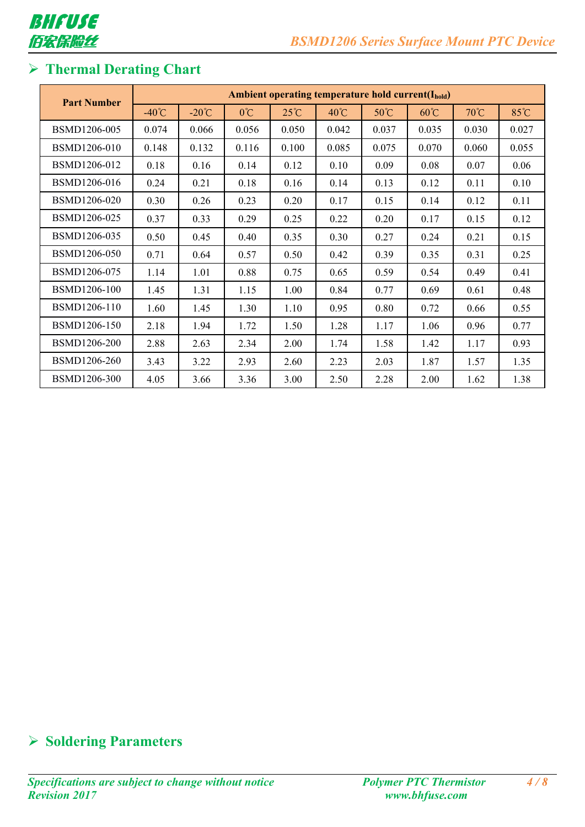

# **Thermal Derating Chart**

| <b>Part Number</b> |                 | <b>Ambient operating temperature hold current(Ihold)</b> |               |                |                |       |                |       |       |
|--------------------|-----------------|----------------------------------------------------------|---------------|----------------|----------------|-------|----------------|-------|-------|
|                    | $-40^{\circ}$ C | $-20^{\circ}$ C                                          | $0^{\circ}$ C | $25^{\circ}$ C | $40^{\circ}$ C | 50°C  | $60^{\circ}$ C | 70°C  | 85°C  |
| BSMD1206-005       | 0.074           | 0.066                                                    | 0.056         | 0.050          | 0.042          | 0.037 | 0.035          | 0.030 | 0.027 |
| BSMD1206-010       | 0.148           | 0.132                                                    | 0.116         | 0.100          | 0.085          | 0.075 | 0.070          | 0.060 | 0.055 |
| BSMD1206-012       | 0.18            | 0.16                                                     | 0.14          | 0.12           | 0.10           | 0.09  | 0.08           | 0.07  | 0.06  |
| BSMD1206-016       | 0.24            | 0.21                                                     | 0.18          | 0.16           | 0.14           | 0.13  | 0.12           | 0.11  | 0.10  |
| BSMD1206-020       | 0.30            | 0.26                                                     | 0.23          | 0.20           | 0.17           | 0.15  | 0.14           | 0.12  | 0.11  |
| BSMD1206-025       | 0.37            | 0.33                                                     | 0.29          | 0.25           | 0.22           | 0.20  | 0.17           | 0.15  | 0.12  |
| BSMD1206-035       | 0.50            | 0.45                                                     | 0.40          | 0.35           | 0.30           | 0.27  | 0.24           | 0.21  | 0.15  |
| BSMD1206-050       | 0.71            | 0.64                                                     | 0.57          | 0.50           | 0.42           | 0.39  | 0.35           | 0.31  | 0.25  |
| BSMD1206-075       | 1.14            | 1.01                                                     | 0.88          | 0.75           | 0.65           | 0.59  | 0.54           | 0.49  | 0.41  |
| BSMD1206-100       | 1.45            | 1.31                                                     | 1.15          | 1.00           | 0.84           | 0.77  | 0.69           | 0.61  | 0.48  |
| BSMD1206-110       | 1.60            | 1.45                                                     | 1.30          | 1.10           | 0.95           | 0.80  | 0.72           | 0.66  | 0.55  |
| BSMD1206-150       | 2.18            | 1.94                                                     | 1.72          | 1.50           | 1.28           | 1.17  | 1.06           | 0.96  | 0.77  |
| BSMD1206-200       | 2.88            | 2.63                                                     | 2.34          | 2.00           | 1.74           | 1.58  | 1.42           | 1.17  | 0.93  |
| BSMD1206-260       | 3.43            | 3.22                                                     | 2.93          | 2.60           | 2.23           | 2.03  | 1.87           | 1.57  | 1.35  |
| BSMD1206-300       | 4.05            | 3.66                                                     | 3.36          | 3.00           | 2.50           | 2.28  | 2.00           | 1.62  | 1.38  |

# **Soldering Parameters**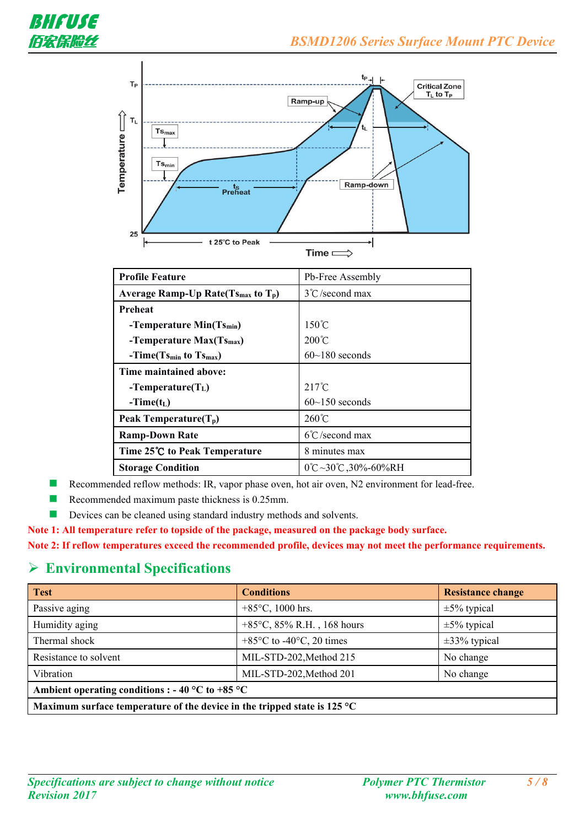

| <b>Profile Feature</b>                      | Pb-Free Assembly                         |
|---------------------------------------------|------------------------------------------|
| Average Ramp-Up Rate $(Ts_{max}$ to $T_p$ ) | $3^{\circ}$ C/second max                 |
| Preheat                                     |                                          |
| -Temperature $Min(Ts_{min})$                | $150^{\circ}$ C                          |
| -Temperature $Max(Ts_{max})$                | $200^{\circ}$ C                          |
| $-Time(Ts_{min}$ to $Ts_{max}$ )            | $60 \sim 180$ seconds                    |
| Time maintained above:                      |                                          |
| -Temperature( $T_L$ )                       | $217^{\circ}$ C                          |
| $-Time(t_L)$                                | $60$ ~150 seconds                        |
| Peak Temperature $(T_p)$                    | $260^{\circ}$ C                          |
| <b>Ramp-Down Rate</b>                       | $6^{\circ}$ C/second max                 |
| Time 25°C to Peak Temperature               | 8 minutes max                            |
| <b>Storage Condition</b>                    | $0^{\circ}C$ ~30 $^{\circ}C$ , 30%-60%RH |

Recommended reflow methods: IR, vapor phase oven, hot air oven, N2 environment for lead-free.

- Recommended maximum paste thickness is 0.25mm.
- Devices can be cleaned using standard industry methods and solvents.

**Note 1: All temperature refer to topside of the package, measured on the package body surface.**

**Note 2: Ifreflow temperatures exceed the recommended profile, devices may not meet the performance requirements.**

#### **Environmental Specifications**

| <b>Test</b>                                                                        | <b>Conditions</b>                             | <b>Resistance change</b> |
|------------------------------------------------------------------------------------|-----------------------------------------------|--------------------------|
| Passive aging                                                                      | +85 $\degree$ C, 1000 hrs.                    | $\pm 5\%$ typical        |
| Humidity aging                                                                     | +85 $\degree$ C, 85% R.H., 168 hours          | $\pm 5\%$ typical        |
| Thermal shock                                                                      | $+85^{\circ}$ C to -40 $^{\circ}$ C, 20 times | $\pm 33\%$ typical       |
| Resistance to solvent                                                              | MIL-STD-202, Method 215                       | No change                |
| Vibration                                                                          | MIL-STD-202, Method 201                       | No change                |
| Ambient operating conditions : - 40 °C to +85 °C                                   |                                               |                          |
| Maximum surface temperature of the device in the tripped state is 125 $^{\circ}$ C |                                               |                          |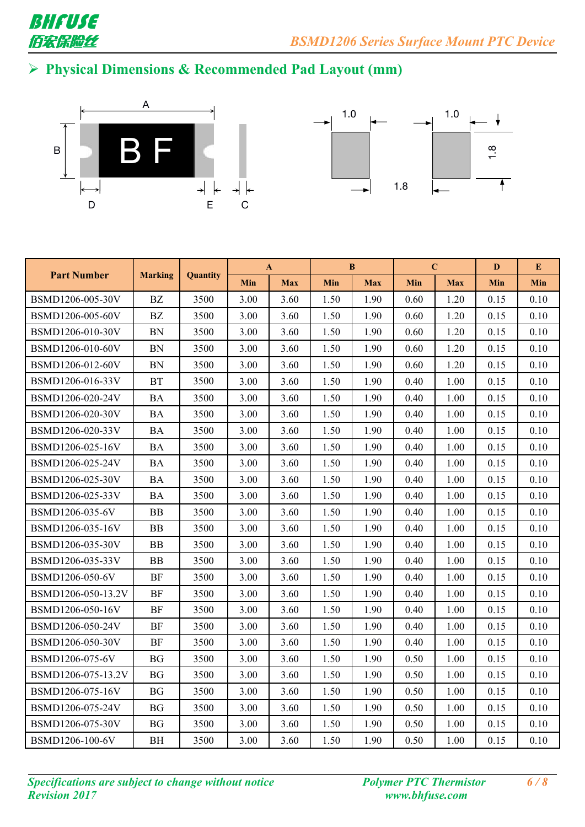

# **Physical Dimensions & Recommended Pad Layout (mm)**





|                    |                |                 |      | $\mathbf{A}$ |            | $\bf{B}$   |      | $\mathbf C$ |      | E          |
|--------------------|----------------|-----------------|------|--------------|------------|------------|------|-------------|------|------------|
| <b>Part Number</b> | <b>Marking</b> | <b>Quantity</b> | Min  | <b>Max</b>   | <b>Min</b> | <b>Max</b> | Min  | <b>Max</b>  | Min  | <b>Min</b> |
| BSMD1206-005-30V   | BZ             | 3500            | 3.00 | 3.60         | 1.50       | 1.90       | 0.60 | 1.20        | 0.15 | 0.10       |
| BSMD1206-005-60V   | BZ             | 3500            | 3.00 | 3.60         | 1.50       | 1.90       | 0.60 | 1.20        | 0.15 | 0.10       |
| BSMD1206-010-30V   | <b>BN</b>      | 3500            | 3.00 | 3.60         | 1.50       | 1.90       | 0.60 | 1.20        | 0.15 | 0.10       |
| BSMD1206-010-60V   | <b>BN</b>      | 3500            | 3.00 | 3.60         | 1.50       | 1.90       | 0.60 | 1.20        | 0.15 | 0.10       |
| BSMD1206-012-60V   | <b>BN</b>      | 3500            | 3.00 | 3.60         | 1.50       | 1.90       | 0.60 | 1.20        | 0.15 | 0.10       |
| BSMD1206-016-33V   | <b>BT</b>      | 3500            | 3.00 | 3.60         | 1.50       | 1.90       | 0.40 | 1.00        | 0.15 | 0.10       |
| BSMD1206-020-24V   | <b>BA</b>      | 3500            | 3.00 | 3.60         | 1.50       | 1.90       | 0.40 | 1.00        | 0.15 | 0.10       |
| BSMD1206-020-30V   | <b>BA</b>      | 3500            | 3.00 | 3.60         | 1.50       | 1.90       | 0.40 | 1.00        | 0.15 | 0.10       |
| BSMD1206-020-33V   | <b>BA</b>      | 3500            | 3.00 | 3.60         | 1.50       | 1.90       | 0.40 | 1.00        | 0.15 | 0.10       |
| BSMD1206-025-16V   | <b>BA</b>      | 3500            | 3.00 | 3.60         | 1.50       | 1.90       | 0.40 | 1.00        | 0.15 | 0.10       |
| BSMD1206-025-24V   | <b>BA</b>      | 3500            | 3.00 | 3.60         | 1.50       | 1.90       | 0.40 | 1.00        | 0.15 | 0.10       |
| BSMD1206-025-30V   | <b>BA</b>      | 3500            | 3.00 | 3.60         | 1.50       | 1.90       | 0.40 | 1.00        | 0.15 | 0.10       |
| BSMD1206-025-33V   | <b>BA</b>      | 3500            | 3.00 | 3.60         | 1.50       | 1.90       | 0.40 | 1.00        | 0.15 | 0.10       |
| BSMD1206-035-6V    | <b>BB</b>      | 3500            | 3.00 | 3.60         | 1.50       | 1.90       | 0.40 | 1.00        | 0.15 | 0.10       |
| BSMD1206-035-16V   | ΒB             | 3500            | 3.00 | 3.60         | 1.50       | 1.90       | 0.40 | 1.00        | 0.15 | 0.10       |
| BSMD1206-035-30V   | <b>BB</b>      | 3500            | 3.00 | 3.60         | 1.50       | 1.90       | 0.40 | 1.00        | 0.15 | 0.10       |
| BSMD1206-035-33V   | <b>BB</b>      | 3500            | 3.00 | 3.60         | 1.50       | 1.90       | 0.40 | 1.00        | 0.15 | 0.10       |
| BSMD1206-050-6V    | <b>BF</b>      | 3500            | 3.00 | 3.60         | 1.50       | 1.90       | 0.40 | 1.00        | 0.15 | 0.10       |
| BSMD1206-050-13.2V | BF             | 3500            | 3.00 | 3.60         | 1.50       | 1.90       | 0.40 | 1.00        | 0.15 | 0.10       |
| BSMD1206-050-16V   | BF             | 3500            | 3.00 | 3.60         | 1.50       | 1.90       | 0.40 | 1.00        | 0.15 | 0.10       |
| BSMD1206-050-24V   | $\rm{BF}$      | 3500            | 3.00 | 3.60         | 1.50       | 1.90       | 0.40 | 1.00        | 0.15 | 0.10       |
| BSMD1206-050-30V   | $\rm{BF}$      | 3500            | 3.00 | 3.60         | 1.50       | 1.90       | 0.40 | 1.00        | 0.15 | 0.10       |
| BSMD1206-075-6V    | <b>BG</b>      | 3500            | 3.00 | 3.60         | 1.50       | 1.90       | 0.50 | 1.00        | 0.15 | 0.10       |
| BSMD1206-075-13.2V | <b>BG</b>      | 3500            | 3.00 | 3.60         | 1.50       | 1.90       | 0.50 | 1.00        | 0.15 | 0.10       |
| BSMD1206-075-16V   | <b>BG</b>      | 3500            | 3.00 | 3.60         | 1.50       | 1.90       | 0.50 | 1.00        | 0.15 | 0.10       |
| BSMD1206-075-24V   | <b>BG</b>      | 3500            | 3.00 | 3.60         | 1.50       | 1.90       | 0.50 | 1.00        | 0.15 | 0.10       |
| BSMD1206-075-30V   | <b>BG</b>      | 3500            | 3.00 | 3.60         | 1.50       | 1.90       | 0.50 | 1.00        | 0.15 | 0.10       |
| BSMD1206-100-6V    | <b>BH</b>      | 3500            | 3.00 | 3.60         | 1.50       | 1.90       | 0.50 | 1.00        | 0.15 | 0.10       |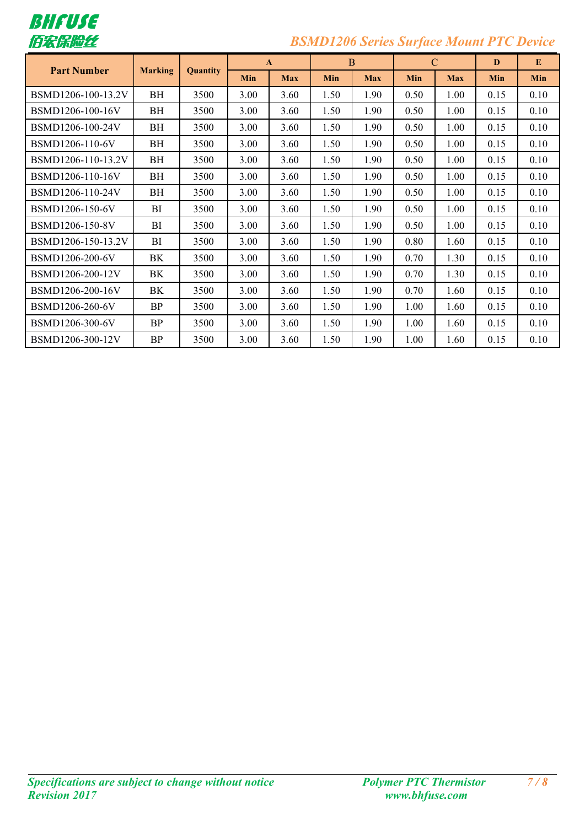

# 佰宏保险丝 *BSMD1206 Series Surface Mount PTC Device*

| <b>Part Number</b> |           | <b>Marking</b><br><b>Quantity</b> |            | $\mathbf{A}$ |      | B          |      | $\mathcal{C}$ |            | E          |  |
|--------------------|-----------|-----------------------------------|------------|--------------|------|------------|------|---------------|------------|------------|--|
|                    |           |                                   | <b>Min</b> | <b>Max</b>   | Min  | <b>Max</b> | Min  | <b>Max</b>    | <b>Min</b> | <b>Min</b> |  |
| BSMD1206-100-13.2V | BH        | 3500                              | 3.00       | 3.60         | 1.50 | 1.90       | 0.50 | 1.00          | 0.15       | 0.10       |  |
| BSMD1206-100-16V   | BH        | 3500                              | 3.00       | 3.60         | 1.50 | 1.90       | 0.50 | 1.00          | 0.15       | 0.10       |  |
| BSMD1206-100-24V   | BH        | 3500                              | 3.00       | 3.60         | 1.50 | 1.90       | 0.50 | 1.00          | 0.15       | 0.10       |  |
| BSMD1206-110-6V    | BH        | 3500                              | 3.00       | 3.60         | 1.50 | 1.90       | 0.50 | 1.00          | 0.15       | 0.10       |  |
| BSMD1206-110-13.2V | BH        | 3500                              | 3.00       | 3.60         | 1.50 | 1.90       | 0.50 | 1.00          | 0.15       | 0.10       |  |
| BSMD1206-110-16V   | BH        | 3500                              | 3.00       | 3.60         | 1.50 | 1.90       | 0.50 | 1.00          | 0.15       | 0.10       |  |
| BSMD1206-110-24V   | BH        | 3500                              | 3.00       | 3.60         | 1.50 | 1.90       | 0.50 | 1.00          | 0.15       | 0.10       |  |
| BSMD1206-150-6V    | BI        | 3500                              | 3.00       | 3.60         | 1.50 | 1.90       | 0.50 | 1.00          | 0.15       | 0.10       |  |
| BSMD1206-150-8V    | BI        | 3500                              | 3.00       | 3.60         | 1.50 | 1.90       | 0.50 | 1.00          | 0.15       | 0.10       |  |
| BSMD1206-150-13.2V | BI        | 3500                              | 3.00       | 3.60         | 1.50 | 1.90       | 0.80 | 1.60          | 0.15       | 0.10       |  |
| BSMD1206-200-6V    | BK        | 3500                              | 3.00       | 3.60         | 1.50 | 1.90       | 0.70 | 1.30          | 0.15       | 0.10       |  |
| BSMD1206-200-12V   | BK.       | 3500                              | 3.00       | 3.60         | 1.50 | 1.90       | 0.70 | 1.30          | 0.15       | 0.10       |  |
| BSMD1206-200-16V   | BK        | 3500                              | 3.00       | 3.60         | 1.50 | 1.90       | 0.70 | 1.60          | 0.15       | 0.10       |  |
| BSMD1206-260-6V    | BP        | 3500                              | 3.00       | 3.60         | 1.50 | 1.90       | 1.00 | 1.60          | 0.15       | 0.10       |  |
| BSMD1206-300-6V    | <b>BP</b> | 3500                              | 3.00       | 3.60         | 1.50 | 1.90       | 1.00 | 1.60          | 0.15       | 0.10       |  |
| BSMD1206-300-12V   | BP        | 3500                              | 3.00       | 3.60         | 1.50 | 1.90       | 1.00 | 1.60          | 0.15       | 0.10       |  |